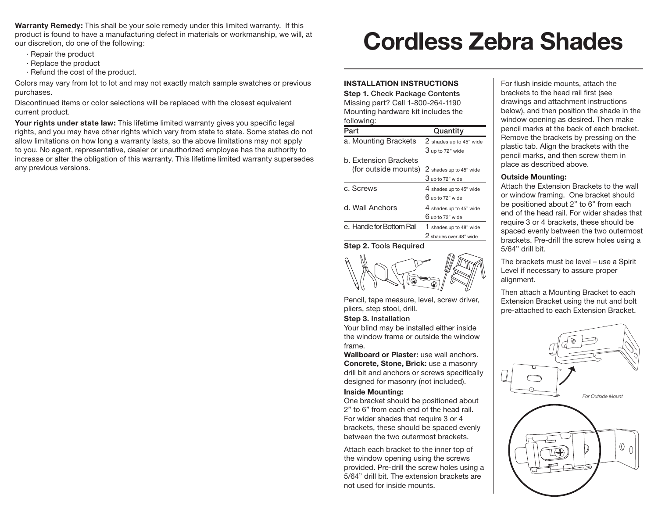**Warranty Remedy:** This shall be your sole remedy under this limited warranty. If this product is found to have a manufacturing defect in materials or workmanship, we will, at our discretion, do one of the following:

- · Repair the product
- · Replace the product
- · Refund the cost of the product.

Colors may vary from lot to lot and may not exactly match sample swatches or previous purchases.

Discontinued items or color selections will be replaced with the closest equivalent current product.

**Your rights under state law:** This lifetime limited warranty gives you specific legal rights, and you may have other rights which vary from state to state. Some states do not allow limitations on how long a warranty lasts, so the above limitations may not apply to you. No agent, representative, dealer or unauthorized employee has the authority to increase or alter the obligation of this warranty. This lifetime limited warranty supersedes any previous versions.

# **Cordless Zebra Shades**

# **INSTALLATION INSTRUCTIONS**

**Step 1.** Check Package Contents Missing part? Call 1-800-264-1190 Mounting hardware kit includes the following:

| Part                          | Quantity                |
|-------------------------------|-------------------------|
| a. Mounting Brackets          | 2 shades up to 45" wide |
|                               | $3$ up to 72" wide      |
| b. Extension Brackets         |                         |
| (for outside mounts)          | 2 shades up to 45" wide |
|                               | $3$ up to 72" wide      |
| c. Screws                     | 4 shades up to 45" wide |
|                               | $6$ up to 72" wide      |
| d. Wall Anchors               | 4 shades up to 45" wide |
|                               | $6$ up to 72" wide      |
| e. Handle for Bottom Rail     | 1 shades up to 48" wide |
|                               | 2 shades over 48" wide  |
| <b>Step 2. Tools Required</b> |                         |



Pencil, tape measure, level, screw driver, pliers, step stool, drill.

#### **Step 3.** Installation

Your blind may be installed either inside the window frame or outside the window frame.

**Wallboard or Plaster:** use wall anchors. **Concrete, Stone, Brick:** use a masonry drill bit and anchors or screws specifically designed for masonry (not included).

#### **Inside Mounting:**

One bracket should be positioned about 2" to 6" from each end of the head rail. For wider shades that require 3 or 4 brackets, these should be spaced evenly between the two outermost brackets.

Attach each bracket to the inner top of the window opening using the screws provided. Pre-drill the screw holes using a 5/64" drill bit. The extension brackets are not used for inside mounts.

For flush inside mounts, attach the brackets to the head rail first (see drawings and attachment instructions below), and then position the shade in the window opening as desired. Then make pencil marks at the back of each bracket. Remove the brackets by pressing on the plastic tab. Align the brackets with the pencil marks, and then screw them in place as described above.

#### **Outside Mounting:**

Attach the Extension Brackets to the wall or window framing. One bracket should be positioned about 2" to 6" from each end of the head rail. For wider shades that require 3 or 4 brackets, these should be spaced evenly between the two outermost brackets. Pre-drill the screw holes using a 5/64" drill bit.

The brackets must be level – use a Spirit Level if necessary to assure proper alignment.

Then attach a Mounting Bracket to each Extension Bracket using the nut and bolt pre-attached to each Extension Bracket.